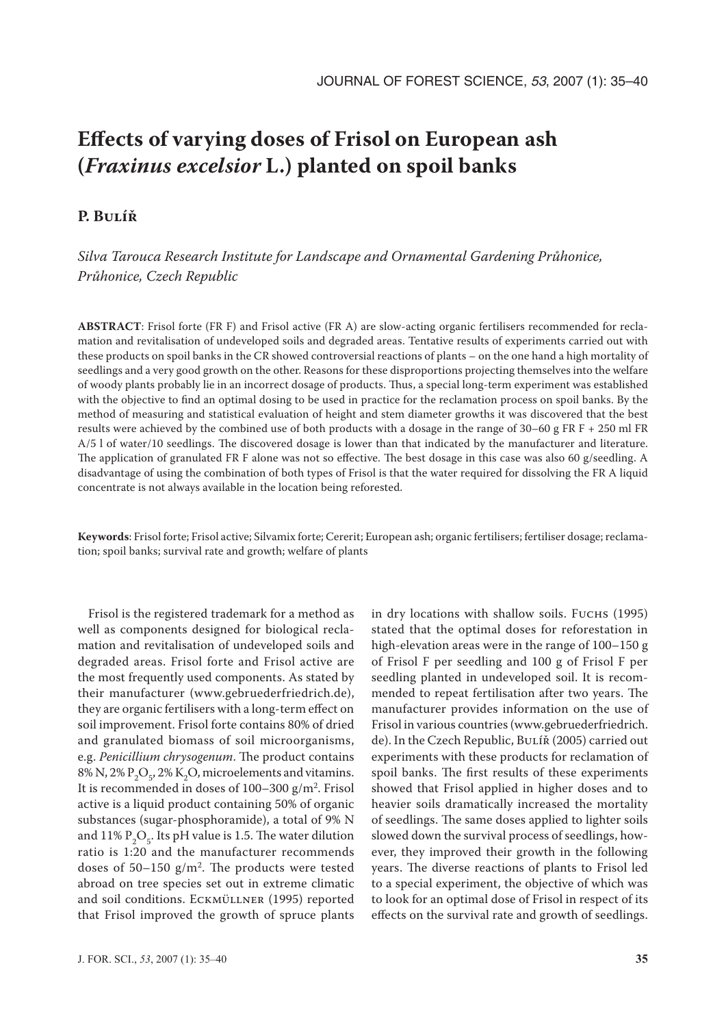# **Effects of varying doses of Frisol on European ash (***Fraxinus excelsior* **L.) planted on spoil banks**

### **P. Bulíř**

*Silva Tarouca Research Institute for Landscape and Ornamental Gardening Průhonice, Průhonice, Czech Republic*

**ABSTRACT**: Frisol forte (FR F) and Frisol active (FR A) are slow-acting organic fertilisers recommended for reclamation and revitalisation of undeveloped soils and degraded areas. Tentative results of experiments carried out with these products on spoil banks in the CR showed controversial reactions of plants – on the one hand a high mortality of seedlings and a very good growth on the other. Reasons for these disproportions projecting themselves into the welfare of woody plants probably lie in an incorrect dosage of products. Thus, a special long-term experiment was established with the objective to find an optimal dosing to be used in practice for the reclamation process on spoil banks. By the method of measuring and statistical evaluation of height and stem diameter growths it was discovered that the best results were achieved by the combined use of both products with a dosage in the range of 30–60 g FR F + 250 ml FR A/5 l of water/10 seedlings. The discovered dosage is lower than that indicated by the manufacturer and literature. The application of granulated FR F alone was not so effective. The best dosage in this case was also 60 g/seedling. A disadvantage of using the combination of both types of Frisol is that the water required for dissolving the FR A liquid concentrate is not always available in the location being reforested.

**Keywords**: Frisol forte; Frisol active; Silvamix forte; Cererit; European ash; organic fertilisers; fertiliser dosage; reclamation; spoil banks; survival rate and growth; welfare of plants

Frisol is the registered trademark for a method as well as components designed for biological reclamation and revitalisation of undeveloped soils and degraded areas. Frisol forte and Frisol active are the most frequently used components. As stated by their manufacturer (www.gebruederfriedrich.de), they are organic fertilisers with a long-term effect on soil improvement. Frisol forte contains 80% of dried and granulated biomass of soil microorganisms, e.g. *Penicillium chrysogenum*. The product contains  $8\%$  N,  $2\%$  P<sub>2</sub>O<sub>5</sub>, 2% K<sub>2</sub>O, microelements and vitamins. It is recommended in doses of  $100-300$  g/m<sup>2</sup>. Frisol active is a liquid product containing 50% of organic substances (sugar-phosphoramide), a total of 9% N and  $11\%$   $P_2O_5$ . Its pH value is 1.5. The water dilution ratio is 1:20 and the manufacturer recommends doses of  $50-150$  g/m<sup>2</sup>. The products were tested abroad on tree species set out in extreme climatic and soil conditions. ECKMÜLLNER (1995) reported that Frisol improved the growth of spruce plants

manufacturer provides information on the use of Frisol in various countries (www.gebruederfriedrich. de). In the Czech Republic, Bulíř (2005) carried out experiments with these products for reclamation of spoil banks. The first results of these experiments showed that Frisol applied in higher doses and to heavier soils dramatically increased the mortality of seedlings. The same doses applied to lighter soils slowed down the survival process of seedlings, however, they improved their growth in the following years. The diverse reactions of plants to Frisol led to a special experiment, the objective of which was to look for an optimal dose of Frisol in respect of its effects on the survival rate and growth of seedlings.

in dry locations with shallow soils. Fuchs (1995) stated that the optimal doses for reforestation in high-elevation areas were in the range of 100–150 g of Frisol F per seedling and 100 g of Frisol F per seedling planted in undeveloped soil. It is recommended to repeat fertilisation after two years. The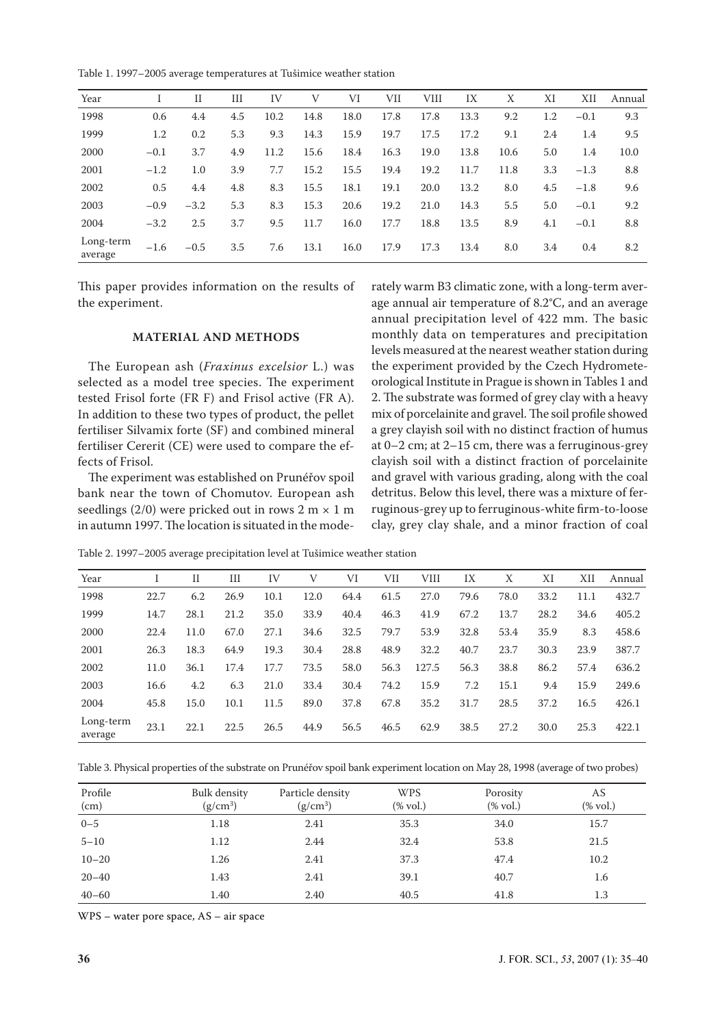Table 1. 1997–2005 average temperatures at Tušimice weather station

| Year                 |        | П      | III | IV   | V    | VI   | VII  | VIII | IX   | Χ    | ΧI  | XII    | Annual |
|----------------------|--------|--------|-----|------|------|------|------|------|------|------|-----|--------|--------|
| 1998                 | 0.6    | 4.4    | 4.5 | 10.2 | 14.8 | 18.0 | 17.8 | 17.8 | 13.3 | 9.2  | 1.2 | $-0.1$ | 9.3    |
| 1999                 | 1.2    | 0.2    | 5.3 | 9.3  | 14.3 | 15.9 | 19.7 | 17.5 | 17.2 | 9.1  | 2.4 | 1.4    | 9.5    |
| 2000                 | $-0.1$ | 3.7    | 4.9 | 11.2 | 15.6 | 18.4 | 16.3 | 19.0 | 13.8 | 10.6 | 5.0 | 1.4    | 10.0   |
| 2001                 | $-1.2$ | 1.0    | 3.9 | 7.7  | 15.2 | 15.5 | 19.4 | 19.2 | 11.7 | 11.8 | 3.3 | $-1.3$ | 8.8    |
| 2002                 | 0.5    | 4.4    | 4.8 | 8.3  | 15.5 | 18.1 | 19.1 | 20.0 | 13.2 | 8.0  | 4.5 | $-1.8$ | 9.6    |
| 2003                 | $-0.9$ | $-3.2$ | 5.3 | 8.3  | 15.3 | 20.6 | 19.2 | 21.0 | 14.3 | 5.5  | 5.0 | $-0.1$ | 9.2    |
| 2004                 | $-3.2$ | 2.5    | 3.7 | 9.5  | 11.7 | 16.0 | 17.7 | 18.8 | 13.5 | 8.9  | 4.1 | $-0.1$ | 8.8    |
| Long-term<br>average | $-1.6$ | $-0.5$ | 3.5 | 7.6  | 13.1 | 16.0 | 17.9 | 17.3 | 13.4 | 8.0  | 3.4 | 0.4    | 8.2    |

This paper provides information on the results of the experiment.

#### **MATERIAL AND METHODS**

The European ash (*Fraxinus excelsior* L.) was selected as a model tree species. The experiment tested Frisol forte (FR F) and Frisol active (FR A). In addition to these two types of product, the pellet fertiliser Silvamix forte (SF) and combined mineral fertiliser Cererit (CE) were used to compare the effects of Frisol.

The experiment was established on Prunéřov spoil bank near the town of Chomutov. European ash seedlings (2/0) were pricked out in rows 2 m  $\times$  1 m in autumn 1997. The location is situated in the moderately warm B3 climatic zone, with a long-term average annual air temperature of 8.2°C, and an average annual precipitation level of 422 mm. The basic monthly data on temperatures and precipitation levels measured at the nearest weather station during the experiment provided by the Czech Hydrometeorological Institute in Prague is shown in Tables 1 and 2. The substrate was formed of grey clay with a heavy mix of porcelainite and gravel. The soil profile showed a grey clayish soil with no distinct fraction of humus at 0–2 cm; at 2–15 cm, there was a ferruginous-grey clayish soil with a distinct fraction of porcelainite and gravel with various grading, along with the coal detritus. Below this level, there was a mixture of ferruginous-grey up to ferruginous-white firm-to-loose clay, grey clay shale, and a minor fraction of coal

Table 2. 1997–2005 average precipitation level at Tušimice weather station

| Year                 |      | П    | Ш    | IV   | V    | VI   | VII  | VIII  | IX   | Χ    | ΧI   | XІІ  | Annual |
|----------------------|------|------|------|------|------|------|------|-------|------|------|------|------|--------|
| 1998                 | 22.7 | 6.2  | 26.9 | 10.1 | 12.0 | 64.4 | 61.5 | 27.0  | 79.6 | 78.0 | 33.2 | 11.1 | 432.7  |
| 1999                 | 14.7 | 28.1 | 21.2 | 35.0 | 33.9 | 40.4 | 46.3 | 41.9  | 67.2 | 13.7 | 28.2 | 34.6 | 405.2  |
| 2000                 | 22.4 | 11.0 | 67.0 | 27.1 | 34.6 | 32.5 | 79.7 | 53.9  | 32.8 | 53.4 | 35.9 | 8.3  | 458.6  |
| 2001                 | 26.3 | 18.3 | 64.9 | 19.3 | 30.4 | 28.8 | 48.9 | 32.2  | 40.7 | 23.7 | 30.3 | 23.9 | 387.7  |
| 2002                 | 11.0 | 36.1 | 17.4 | 17.7 | 73.5 | 58.0 | 56.3 | 127.5 | 56.3 | 38.8 | 86.2 | 57.4 | 636.2  |
| 2003                 | 16.6 | 4.2  | 6.3  | 21.0 | 33.4 | 30.4 | 74.2 | 15.9  | 7.2  | 15.1 | 9.4  | 15.9 | 249.6  |
| 2004                 | 45.8 | 15.0 | 10.1 | 11.5 | 89.0 | 37.8 | 67.8 | 35.2  | 31.7 | 28.5 | 37.2 | 16.5 | 426.1  |
| Long-term<br>average | 23.1 | 22.1 | 22.5 | 26.5 | 44.9 | 56.5 | 46.5 | 62.9  | 38.5 | 27.2 | 30.0 | 25.3 | 422.1  |

Table 3. Physical properties of the substrate on Prunéřov spoil bank experiment location on May 28, 1998 (average of two probes)

| Profile<br>(cm) | <b>Bulk density</b><br>$(g/cm^3)$ | Particle density<br>$(g/cm^3)$ | <b>WPS</b><br>$(\% \text{ vol.})$ | Porosity<br>$(\% \text{ vol.})$ | AS<br>$(\% \text{ vol.})$ |
|-----------------|-----------------------------------|--------------------------------|-----------------------------------|---------------------------------|---------------------------|
| $0 - 5$         | 1.18                              | 2.41                           | 35.3                              | 34.0                            | 15.7                      |
| $5 - 10$        | 1.12                              | 2.44                           | 32.4                              | 53.8                            | 21.5                      |
| $10 - 20$       | 1.26                              | 2.41                           | 37.3                              | 47.4                            | 10.2                      |
| $20 - 40$       | 1.43                              | 2.41                           | 39.1                              | 40.7                            | 1.6                       |
| $40 - 60$       | 1.40                              | 2.40                           | 40.5                              | 41.8                            | 1.3                       |

WPS – water pore space, AS – air space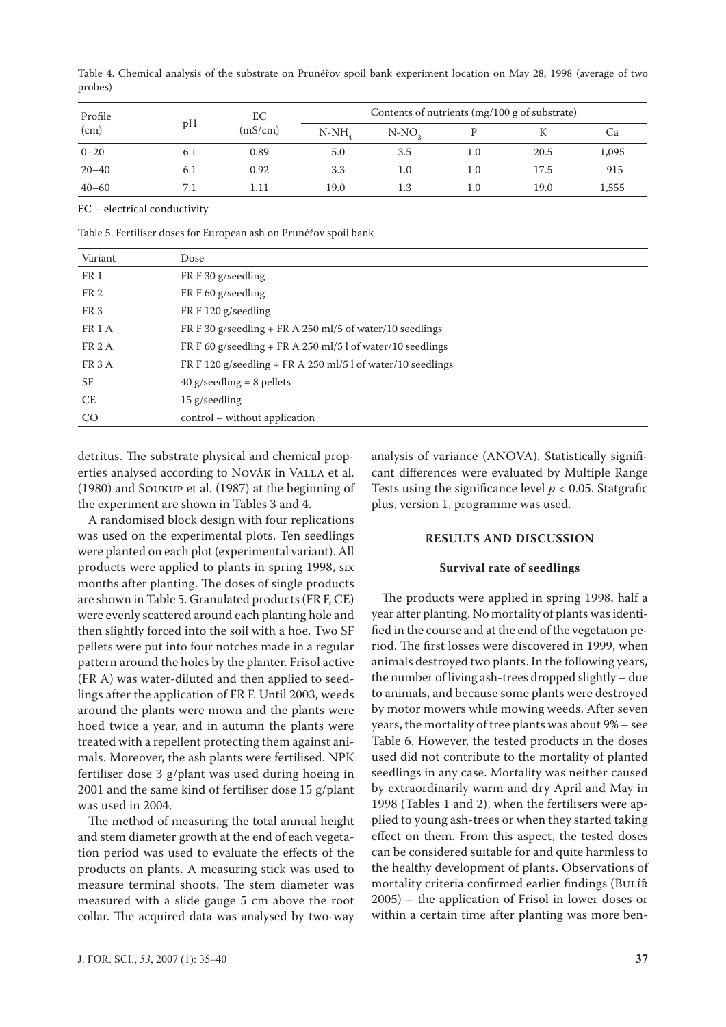| Profile<br>(cm) |     | EС      | Contents of nutrients (mg/100 g of substrate) |         |     |      |       |  |  |  |
|-----------------|-----|---------|-----------------------------------------------|---------|-----|------|-------|--|--|--|
|                 | pH  | (mS/cm) | $N-NH_{\scriptscriptstyle A}$                 | $N-NO2$ |     |      | Ca    |  |  |  |
| $0 - 20$        | 6.1 | 0.89    | 5.0                                           | 3.5     | 1.0 | 20.5 | 1,095 |  |  |  |
| $20 - 40$       | 6.1 | 0.92    | 3.3                                           | 1.0     | 1.0 | 17.5 | 915   |  |  |  |
| $40 - 60$       | 7.1 | 1.11    | 19.0                                          | 1.3     | 1.0 | 19.0 | 1,555 |  |  |  |

Table 4. Chemical analysis of the substrate on Prunéřov spoil bank experiment location on May 28, 1998 (average of two probes)

EC – electrical conductivity

Table 5. Fertiliser doses for European ash on Prunéřov spoil bank

| Dose                                                        |
|-------------------------------------------------------------|
| FR F 30 g/seedling                                          |
| FR F 60 g/seedling                                          |
| FR F 120 g/seedling                                         |
| FR F 30 g/seedling + FR A 250 ml/5 of water/10 seedlings    |
| FR F 60 g/seedling + FR A 250 ml/5 l of water/10 seedlings  |
| FR F 120 g/seedling + FR A 250 ml/5 l of water/10 seedlings |
| $40$ g/seedling = 8 pellets                                 |
| $15$ g/seedling                                             |
| control – without application                               |
|                                                             |

detritus. The substrate physical and chemical properties analysed according to Novák in Valla et al. (1980) and Soukup et al. (1987) at the beginning of the experiment are shown in Tables 3 and 4.

A randomised block design with four replications was used on the experimental plots. Ten seedlings were planted on each plot (experimental variant). All products were applied to plants in spring 1998, six months after planting. The doses of single products are shown in Table 5. Granulated products (FR F, CE) were evenly scattered around each planting hole and then slightly forced into the soil with a hoe. Two SF pellets were put into four notches made in a regular pattern around the holes by the planter. Frisol active (FR A) was water-diluted and then applied to seedlings after the application of FR F. Until 2003, weeds around the plants were mown and the plants were hoed twice a year, and in autumn the plants were treated with a repellent protecting them against animals. Moreover, the ash plants were fertilised. NPK fertiliser dose 3 g/plant was used during hoeing in 2001 and the same kind of fertiliser dose 15 g/plant was used in 2004.

The method of measuring the total annual height and stem diameter growth at the end of each vegetation period was used to evaluate the effects of the products on plants. A measuring stick was used to measure terminal shoots. The stem diameter was measured with a slide gauge 5 cm above the root collar. The acquired data was analysed by two-way analysis of variance (ANOVA). Statistically significant differences were evaluated by Multiple Range Tests using the significance level  $p < 0.05$ . Statgrafic plus, version 1, programme was used.

#### **RESULTS AND DISCUSSION**

#### **Survival rate of seedlings**

The products were applied in spring 1998, half a year after planting. No mortality of plants was identified in the course and at the end of the vegetation period. The first losses were discovered in 1999, when animals destroyed two plants. In the following years, the number of living ash-trees dropped slightly – due to animals, and because some plants were destroyed by motor mowers while mowing weeds. After seven years, the mortality of tree plants was about 9% – see Table 6. However, the tested products in the doses used did not contribute to the mortality of planted seedlings in any case. Mortality was neither caused by extraordinarily warm and dry April and May in 1998 (Tables 1 and 2), when the fertilisers were applied to young ash-trees or when they started taking effect on them. From this aspect, the tested doses can be considered suitable for and quite harmless to the healthy development of plants. Observations of mortality criteria confirmed earlier findings (BULÍŘ 2005) – the application of Frisol in lower doses or within a certain time after planting was more ben-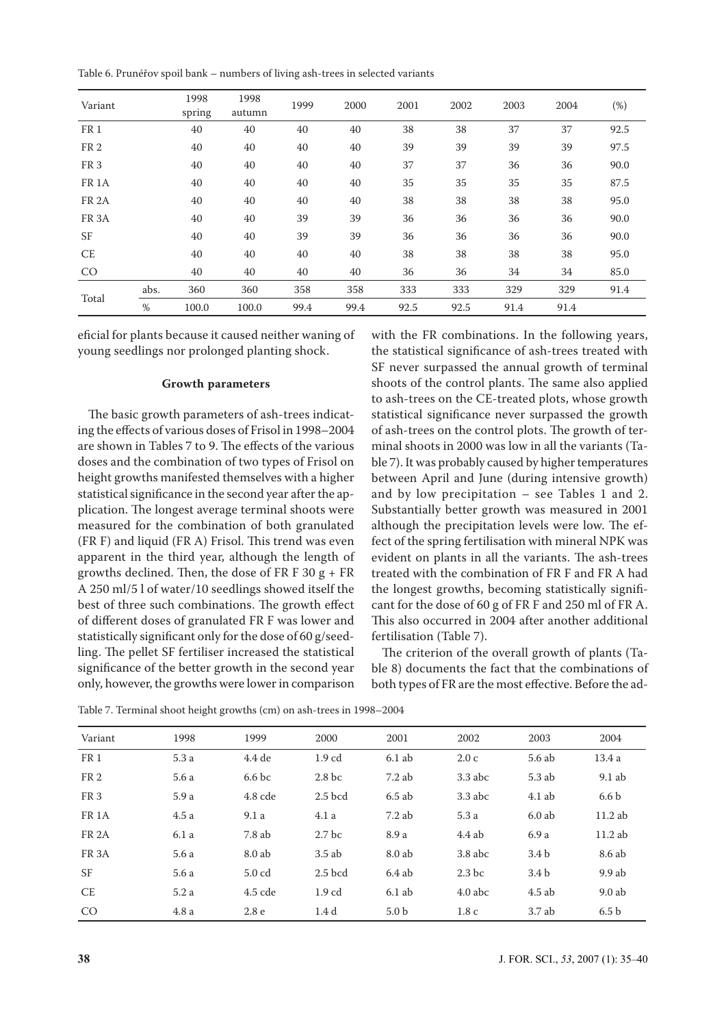Table 6. Prunéřov spoil bank – numbers of living ash-trees in selected variants

| Variant           |      | 1998<br>spring | 1998<br>autumn | 1999 | 2000 | 2001 | 2002 | 2003 | 2004 | $(\%)$ |
|-------------------|------|----------------|----------------|------|------|------|------|------|------|--------|
| FR <sub>1</sub>   |      | 40             | 40             | 40   | 40   | 38   | 38   | 37   | 37   | 92.5   |
| FR <sub>2</sub>   |      | 40             | 40             | 40   | 40   | 39   | 39   | 39   | 39   | 97.5   |
| FR <sub>3</sub>   |      | 40             | 40             | 40   | 40   | 37   | 37   | 36   | 36   | 90.0   |
| FR <sub>1</sub> A |      | 40             | 40             | 40   | 40   | 35   | 35   | 35   | 35   | 87.5   |
| FR <sub>2</sub> A |      | 40             | 40             | 40   | 40   | 38   | 38   | 38   | 38   | 95.0   |
| FR <sub>3</sub> A |      | 40             | 40             | 39   | 39   | 36   | 36   | 36   | 36   | 90.0   |
| <b>SF</b>         |      | 40             | 40             | 39   | 39   | 36   | 36   | 36   | 36   | 90.0   |
| CE                |      | 40             | 40             | 40   | 40   | 38   | 38   | 38   | 38   | 95.0   |
| CO                |      | 40             | 40             | 40   | 40   | 36   | 36   | 34   | 34   | 85.0   |
| Total             | abs. | 360            | 360            | 358  | 358  | 333  | 333  | 329  | 329  | 91.4   |
|                   | %    | 100.0          | 100.0          | 99.4 | 99.4 | 92.5 | 92.5 | 91.4 | 91.4 |        |

eficial for plants because it caused neither waning of young seedlings nor prolonged planting shock.

#### **Growth parameters**

The basic growth parameters of ash-trees indicating the effects of various doses of Frisol in 1998–2004 are shown in Tables 7 to 9. The effects of the various doses and the combination of two types of Frisol on height growths manifested themselves with a higher statistical significance in the second year after the application. The longest average terminal shoots were measured for the combination of both granulated (FR F) and liquid (FR A) Frisol. This trend was even apparent in the third year, although the length of growths declined. Then, the dose of FR  $F$  30  $g$  + FR A 250 ml/5 l of water/10 seedlings showed itself the best of three such combinations. The growth effect of different doses of granulated FR F was lower and statistically significant only for the dose of 60 g/seedling. The pellet SF fertiliser increased the statistical significance of the better growth in the second year only, however, the growths were lower in comparison

with the FR combinations. In the following years, the statistical significance of ash-trees treated with SF never surpassed the annual growth of terminal shoots of the control plants. The same also applied to ash-trees on the CE-treated plots, whose growth statistical significance never surpassed the growth of ash-trees on the control plots. The growth of terminal shoots in 2000 was low in all the variants (Table 7). It was probably caused by higher temperatures between April and June (during intensive growth) and by low precipitation – see Tables 1 and 2. Substantially better growth was measured in 2001 although the precipitation levels were low. The effect of the spring fertilisation with mineral NPK was evident on plants in all the variants. The ash-trees treated with the combination of FR F and FR A had the longest growths, becoming statistically significant for the dose of 60 g of FR F and 250 ml of FR A. This also occurred in 2004 after another additional fertilisation (Table 7).

The criterion of the overall growth of plants (Table 8) documents the fact that the combinations of both types of FR are the most effective. Before the ad-

|                   | $\frac{1}{2}$ |                   |                   |                  |                   |                  |                  |
|-------------------|---------------|-------------------|-------------------|------------------|-------------------|------------------|------------------|
| Variant           | 1998          | 1999              | 2000              | 2001             | 2002              | 2003             | 2004             |
| FR 1              | 5.3a          | 4.4 de            | 1.9 <sub>cd</sub> | $6.1$ ab         | 2.0c              | $5.6$ ab         | 13.4 a           |
| FR <sub>2</sub>   | 5.6 a         | 6.6 <sub>bc</sub> | 2.8 <sub>bc</sub> | 7.2ab            | $3.3$ abc         | $5.3$ ab         | 9.1 ab           |
| FR <sub>3</sub>   | 5.9a          | $4.8$ cde         | $2.5$ bcd         | $6.5$ ab         | $3.3$ abc         | $4.1$ ab         | 6.6 b            |
| FR <sub>1</sub> A | 4.5a          | 9.1 a             | 4.1 a             | 7.2ab            | 5.3 a             | $6.0$ ab         | 11.2 ab          |
| FR <sub>2</sub> A | 6.1a          | 7.8 ab            | 2.7 <sub>bc</sub> | 8.9 a            | 4.4ab             | 6.9a             | 11.2 ab          |
| FR <sub>3</sub> A | 5.6 a         | 8.0 ab            | $3.5$ ab          | 8.0 ab           | $3.8$ abc         | 3.4 <sub>b</sub> | 8.6 ab           |
| SF                | 5.6 a         | $5.0$ cd          | $2.5$ bcd         | 6.4ab            | 2.3 <sub>bc</sub> | 3.4 <sub>b</sub> | 9.9 ab           |
| CE                | 5.2a          | $4.5$ cde         | 1.9 <sub>cd</sub> | $6.1$ ab         | $4.0$ abc         | $4.5$ ab         | 9.0 ab           |
| CO                | 4.8 a         | 2.8 <sub>e</sub>  | 1.4d              | 5.0 <sub>b</sub> | 1.8c              | 3.7ab            | 6.5 <sub>b</sub> |

Table 7. Terminal shoot height growths (cm) on ash-trees in 1998–2004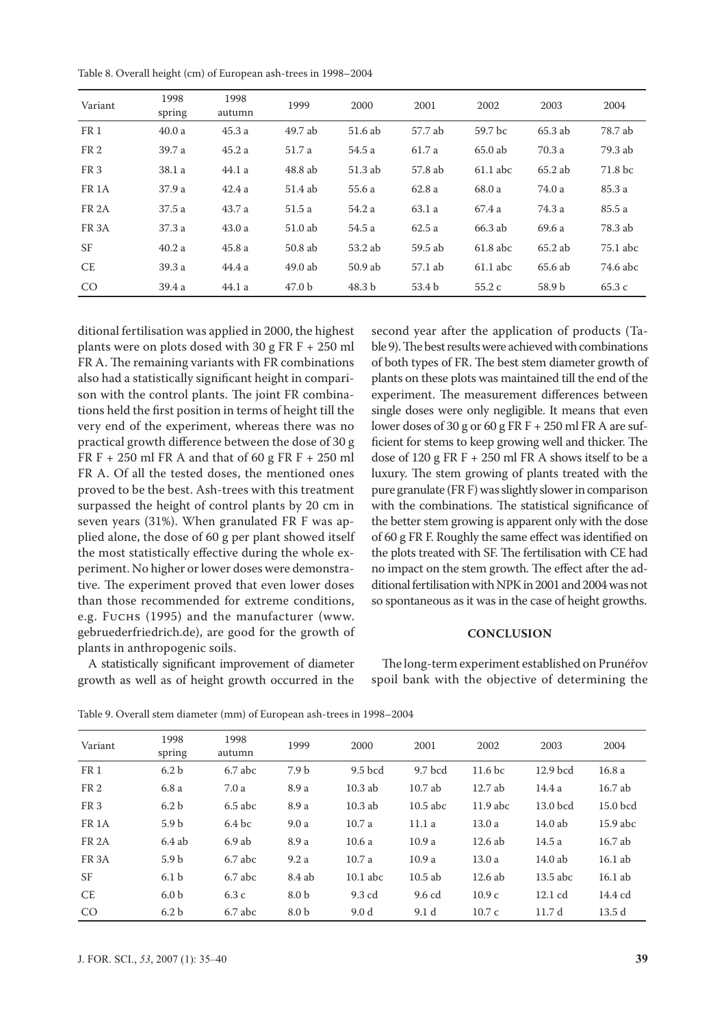Table 8. Overall height (cm) of European ash-trees in 1998–2004

| Variant           | 1998<br>spring | 1998<br>autumn | 1999              | 2000    | 2001    | 2002       | 2003      | 2004     |
|-------------------|----------------|----------------|-------------------|---------|---------|------------|-----------|----------|
| FR <sub>1</sub>   | 40.0a          | 45.3a          | 49.7 ab           | 51.6 ab | 57.7 ab | 59.7 bc    | 65.3 ab   | 78.7 ab  |
| FR <sub>2</sub>   | 39.7 a         | 45.2a          | 51.7 a            | 54.5 a  | 61.7 a  | $65.0$ ab  | 70.3 a    | 79.3 ab  |
| FR <sub>3</sub>   | 38.1 a         | 44.1 a         | 48.8 ab           | 51.3 ab | 57.8 ab | $61.1$ abc | $65.2$ ab | 71.8 bc  |
| FR <sub>1</sub> A | 37.9 a         | 42.4a          | 51.4 ab           | 55.6 a  | 62.8a   | 68.0 a     | 74.0 a    | 85.3 a   |
| FR <sub>2</sub> A | 37.5a          | 43.7 a         | 51.5 a            | 54.2 a  | 63.1 a  | 67.4a      | 74.3 a    | 85.5 a   |
| FR <sub>3</sub> A | 37.3 a         | 43.0a          | 51.0ab            | 54.5 a  | 62.5a   | 66.3 ab    | 69.6 a    | 78.3 ab  |
| <b>SF</b>         | 40.2a          | 45.8a          | 50.8 ab           | 53.2 ab | 59.5 ab | $61.8$ abc | $65.2$ ab | 75.1 abc |
| <b>CE</b>         | 39.3 a         | 44.4 a         | 49.0ab            | 50.9 ab | 57.1 ab | $61.1$ abc | 65.6 ab   | 74.6 abc |
| <sub>CO</sub>     | 39.4 a         | 44.1 a         | 47.0 <sub>b</sub> | 48.3 b  | 53.4 b  | 55.2c      | 58.9 b    | 65.3 c   |

ditional fertilisation was applied in 2000, the highest plants were on plots dosed with 30 g FR F + 250 ml FR A. The remaining variants with FR combinations also had a statistically significant height in comparison with the control plants. The joint FR combinations held the first position in terms of height till the very end of the experiment, whereas there was no practical growth difference between the dose of 30 g FR F + 250 ml FR A and that of 60 g FR F + 250 ml FR A. Of all the tested doses, the mentioned ones proved to be the best. Ash-trees with this treatment surpassed the height of control plants by 20 cm in seven years (31%). When granulated FR F was applied alone, the dose of 60 g per plant showed itself the most statistically effective during the whole experiment. No higher or lower doses were demonstrative. The experiment proved that even lower doses than those recommended for extreme conditions, e.g. Fuchs (1995) and the manufacturer (www. gebruederfriedrich.de), are good for the growth of plants in anthropogenic soils.

A statistically significant improvement of diameter growth as well as of height growth occurred in the

second year after the application of products (Table 9). The best results were achieved with combinations of both types of FR. The best stem diameter growth of plants on these plots was maintained till the end of the experiment. The measurement differences between single doses were only negligible. It means that even lower doses of 30 g or 60 g FR  $F + 250$  ml FR A are sufficient for stems to keep growing well and thicker. The dose of 120 g FR  $F + 250$  ml FR A shows itself to be a luxury. The stem growing of plants treated with the pure granulate (FR F) was slightly slower in comparison with the combinations. The statistical significance of the better stem growing is apparent only with the dose of 60 g FR F. Roughly the same effect was identified on the plots treated with SF. The fertilisation with CE had no impact on the stem growth. The effect after the additional fertilisation with NPK in 2001 and 2004 was not so spontaneous as it was in the case of height growths.

#### **CONCLUSION**

The long-term experiment established on Prunéřov spoil bank with the objective of determining the

| Variant           | 1998<br>spring   | 1998<br>autumn    | 1999             | 2000       | 2001             | 2002       | 2003       | 2004       |
|-------------------|------------------|-------------------|------------------|------------|------------------|------------|------------|------------|
| FR <sub>1</sub>   | 6.2 <sub>b</sub> | $6.7$ abc         | 7.9 <sub>b</sub> | 9.5 bcd    | 9.7 bcd          | 11.6 bc    | 12.9 bcd   | 16.8a      |
| FR <sub>2</sub>   | 6.8a             | 7.0 a             | 8.9 a            | $10.3$ ab  | $10.7$ ab        | 12.7ab     | 14.4 a     | 16.7 ab    |
| FR <sub>3</sub>   | 6.2 <sub>b</sub> | $6.5$ abc         | 8.9 a            | $10.3$ ab  | $10.5$ abc       | $11.9$ abc | $13.0$ bcd | $15.0$ bcd |
| FR <sub>1</sub> A | 5.9 <sub>b</sub> | 6.4 <sub>bc</sub> | 9.0a             | 10.7a      | 11.1 a           | 13.0a      | 14.0 ab    | $15.9$ abc |
| FR <sub>2</sub> A | $6.4$ ab         | $6.9$ ab          | 8.9 a            | 10.6a      | 10.9a            | 12.6ab     | 14.5 a     | 16.7 ab    |
| FR <sub>3</sub> A | 5.9 <sub>b</sub> | $6.7$ abc         | 9.2a             | 10.7a      | 10.9a            | 13.0a      | 14.0 ab    | $16.1$ ab  |
| <b>SF</b>         | 6.1 <sub>b</sub> | $6.7$ abc         | 8.4 ab           | $10.1$ abc | $10.5$ ab        | 12.6ab     | $13.5$ abc | $16.1$ ab  |
| <b>CE</b>         | 6.0 <sub>b</sub> | 6.3c              | 8.0 <sub>b</sub> | 9.3 cd     | 9.6 cd           | 10.9c      | $12.1$ cd  | 14.4 cd    |
| <sub>CO</sub>     | 6.2 <sub>b</sub> | $6.7$ abc         | 8.0 <sub>b</sub> | 9.0 d      | 9.1 <sub>d</sub> | 10.7c      | 11.7d      | 13.5d      |

Table 9. Overall stem diameter (mm) of European ash-trees in 1998–2004